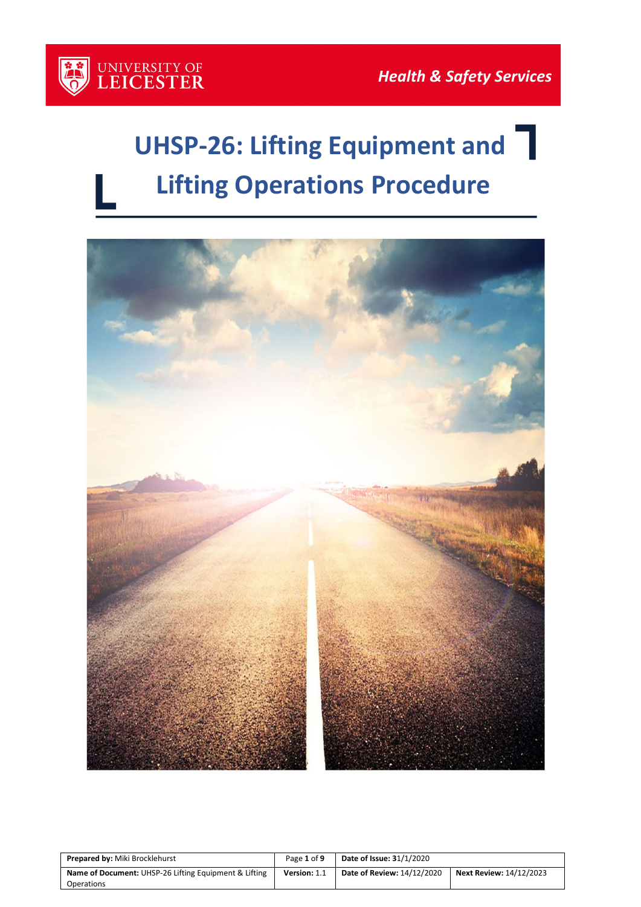

# **UHSP-26: Lifting Equipment and Lifting Operations Procedure**



| <b>Prepared by: Miki Brocklehurst</b>                               | Page 1 of 9  | <b>Date of Issue: 31/1/2020</b> |                                |
|---------------------------------------------------------------------|--------------|---------------------------------|--------------------------------|
| Name of Document: UHSP-26 Lifting Equipment & Lifting<br>Operations | Version: 1.1 | Date of Review: 14/12/2020      | <b>Next Review: 14/12/2023</b> |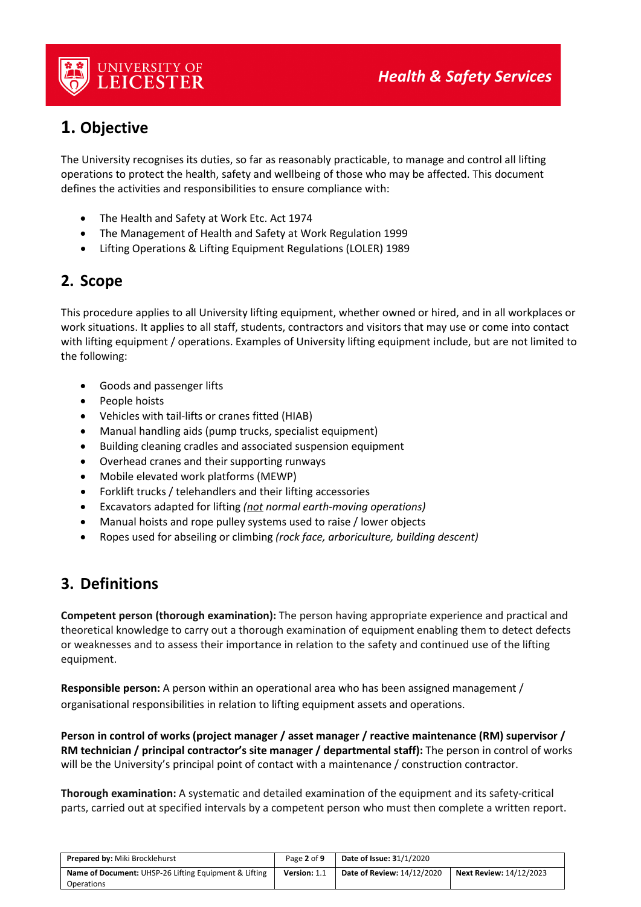

# **1. Objective**

The University recognises its duties, so far as reasonably practicable, to manage and control all lifting operations to protect the health, safety and wellbeing of those who may be affected. This document defines the activities and responsibilities to ensure compliance with:

- The Health and Safety at Work Etc. Act 1974
- The Management of Health and Safety at Work Regulation 1999
- Lifting Operations & Lifting Equipment Regulations (LOLER) 1989

## **2. Scope**

This procedure applies to all University lifting equipment, whether owned or hired, and in all workplaces or work situations. It applies to all staff, students, contractors and visitors that may use or come into contact with lifting equipment / operations. Examples of University lifting equipment include, but are not limited to the following:

- Goods and passenger lifts
- People hoists
- Vehicles with tail-lifts or cranes fitted (HIAB)
- Manual handling aids (pump trucks, specialist equipment)
- Building cleaning cradles and associated suspension equipment
- Overhead cranes and their supporting runways
- Mobile elevated work platforms (MEWP)
- Forklift trucks / telehandlers and their lifting accessories
- Excavators adapted for lifting *(not normal earth-moving operations)*
- Manual hoists and rope pulley systems used to raise / lower objects
- Ropes used for abseiling or climbing *(rock face, arboriculture, building descent)*

## **3. Definitions**

**Competent person (thorough examination):** The person having appropriate experience and practical and theoretical knowledge to carry out a thorough examination of equipment enabling them to detect defects or weaknesses and to assess their importance in relation to the safety and continued use of the lifting equipment.

**Responsible person:** A person within an operational area who has been assigned management / organisational responsibilities in relation to lifting equipment assets and operations.

**Person in control of works (project manager / asset manager / reactive maintenance (RM) supervisor / RM technician / principal contractor's site manager / departmental staff):** The person in control of works will be the University's principal point of contact with a maintenance / construction contractor.

**Thorough examination:** A systematic and detailed examination of the equipment and its safety-critical parts, carried out at specified intervals by a competent person who must then complete a written report.

| <b>Prepared by: Miki Brocklehurst</b>                 | Page 2 of 9  | <b>Date of Issue: 31/1/2020</b> |                                |
|-------------------------------------------------------|--------------|---------------------------------|--------------------------------|
| Name of Document: UHSP-26 Lifting Equipment & Lifting | Version: 1.1 | Date of Review: 14/12/2020      | <b>Next Review: 14/12/2023</b> |
| Operations                                            |              |                                 |                                |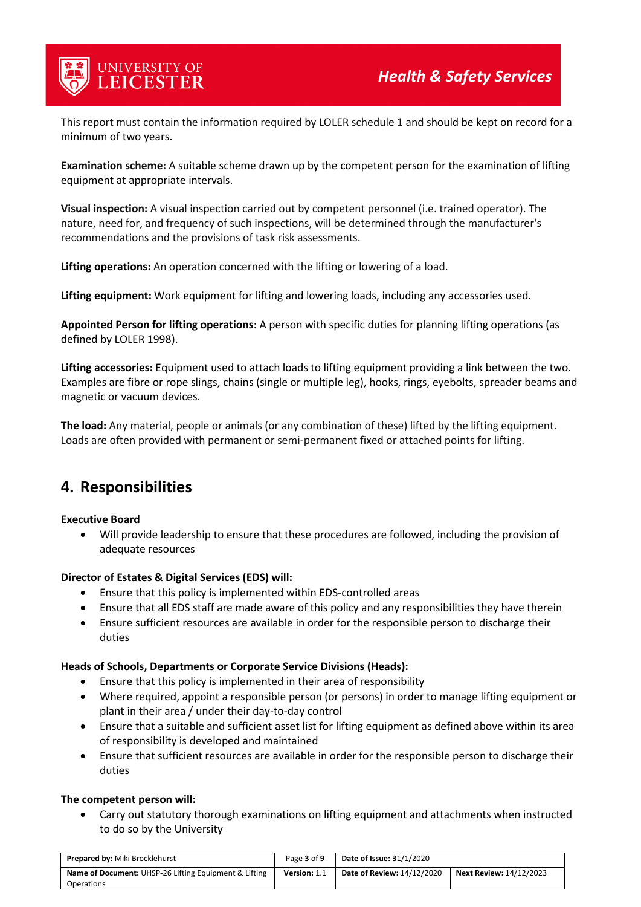

This report must contain the information required by LOLER schedule 1 and should be kept on record for a minimum of two years.

**Examination scheme:** A suitable scheme drawn up by the competent person for the examination of lifting equipment at appropriate intervals.

**Visual inspection:** A visual inspection carried out by competent personnel (i.e. trained operator). The nature, need for, and frequency of such inspections, will be determined through the manufacturer's recommendations and the provisions of task risk assessments.

**Lifting operations:** An operation concerned with the lifting or lowering of a load.

**Lifting equipment:** Work equipment for lifting and lowering loads, including any accessories used.

**Appointed Person for lifting operations:** A person with specific duties for planning lifting operations (as defined by LOLER 1998).

**Lifting accessories:** Equipment used to attach loads to lifting equipment providing a link between the two. Examples are fibre or rope slings, chains (single or multiple leg), hooks, rings, eyebolts, spreader beams and magnetic or vacuum devices.

**The load:** Any material, people or animals (or any combination of these) lifted by the lifting equipment. Loads are often provided with permanent or semi-permanent fixed or attached points for lifting.

## **4. Responsibilities**

#### **Executive Board**

• Will provide leadership to ensure that these procedures are followed, including the provision of adequate resources

#### **Director of Estates & Digital Services (EDS) will:**

- Ensure that this policy is implemented within EDS-controlled areas
- Ensure that all EDS staff are made aware of this policy and any responsibilities they have therein
- Ensure sufficient resources are available in order for the responsible person to discharge their duties

#### **Heads of Schools, Departments or Corporate Service Divisions (Heads):**

- Ensure that this policy is implemented in their area of responsibility
- Where required, appoint a responsible person (or persons) in order to manage lifting equipment or plant in their area / under their day-to-day control
- Ensure that a suitable and sufficient asset list for lifting equipment as defined above within its area of responsibility is developed and maintained
- Ensure that sufficient resources are available in order for the responsible person to discharge their duties

#### **The competent person will:**

• Carry out statutory thorough examinations on lifting equipment and attachments when instructed to do so by the University

| <b>Prepared by: Miki Brocklehurst</b>                 | Page 3 of 9  | <b>Date of Issue: 31/1/2020</b> |                                |
|-------------------------------------------------------|--------------|---------------------------------|--------------------------------|
| Name of Document: UHSP-26 Lifting Equipment & Lifting | Version: 1.1 | Date of Review: 14/12/2020      | <b>Next Review: 14/12/2023</b> |
| <b>Operations</b>                                     |              |                                 |                                |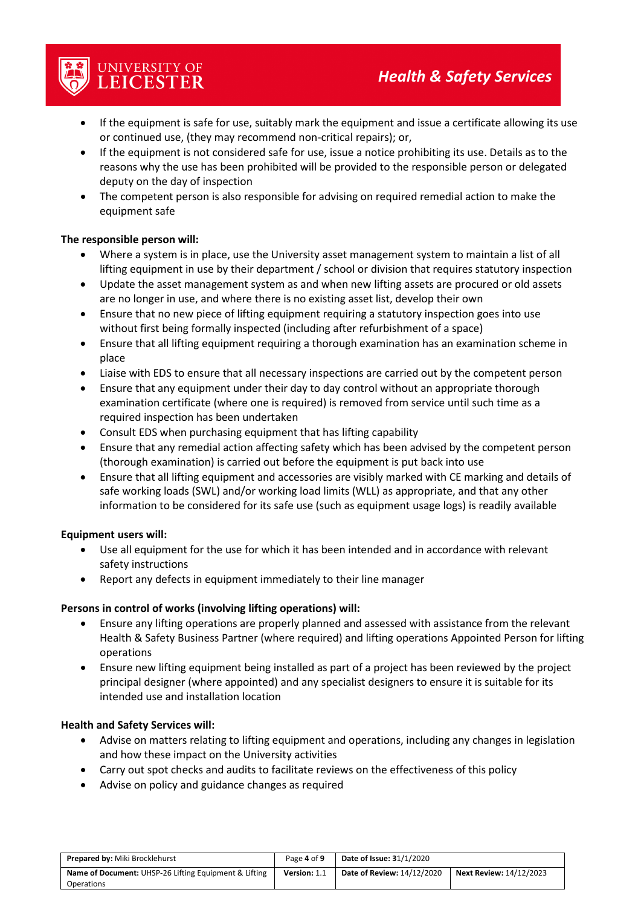- If the equipment is safe for use, suitably mark the equipment and issue a certificate allowing its use or continued use, (they may recommend non-critical repairs); or,
- If the equipment is not considered safe for use, issue a notice prohibiting its use. Details as to the reasons why the use has been prohibited will be provided to the responsible person or delegated deputy on the day of inspection
- The competent person is also responsible for advising on required remedial action to make the equipment safe

#### **The responsible person will:**

UNIVERSITY OF<br>LEICESTER

- Where a system is in place, use the University asset management system to maintain a list of all lifting equipment in use by their department / school or division that requires statutory inspection
- Update the asset management system as and when new lifting assets are procured or old assets are no longer in use, and where there is no existing asset list, develop their own
- Ensure that no new piece of lifting equipment requiring a statutory inspection goes into use without first being formally inspected (including after refurbishment of a space)
- Ensure that all lifting equipment requiring a thorough examination has an examination scheme in place
- Liaise with EDS to ensure that all necessary inspections are carried out by the competent person
- Ensure that any equipment under their day to day control without an appropriate thorough examination certificate (where one is required) is removed from service until such time as a required inspection has been undertaken
- Consult EDS when purchasing equipment that has lifting capability
- Ensure that any remedial action affecting safety which has been advised by the competent person (thorough examination) is carried out before the equipment is put back into use
- Ensure that all lifting equipment and accessories are visibly marked with CE marking and details of safe working loads (SWL) and/or working load limits (WLL) as appropriate, and that any other information to be considered for its safe use (such as equipment usage logs) is readily available

#### **Equipment users will:**

- Use all equipment for the use for which it has been intended and in accordance with relevant safety instructions
- Report any defects in equipment immediately to their line manager

#### **Persons in control of works (involving lifting operations) will:**

- Ensure any lifting operations are properly planned and assessed with assistance from the relevant Health & Safety Business Partner (where required) and lifting operations Appointed Person for lifting operations
- Ensure new lifting equipment being installed as part of a project has been reviewed by the project principal designer (where appointed) and any specialist designers to ensure it is suitable for its intended use and installation location

#### **Health and Safety Services will:**

- Advise on matters relating to lifting equipment and operations, including any changes in legislation and how these impact on the University activities
- Carry out spot checks and audits to facilitate reviews on the effectiveness of this policy
- Advise on policy and guidance changes as required

| <b>Prepared by: Miki Brocklehurst</b>                 | Page 4 of 9  | <b>Date of Issue: 31/1/2020</b>   |                                |
|-------------------------------------------------------|--------------|-----------------------------------|--------------------------------|
| Name of Document: UHSP-26 Lifting Equipment & Lifting | Version: 1.1 | <b>Date of Review: 14/12/2020</b> | <b>Next Review: 14/12/2023</b> |
| <b>Operations</b>                                     |              |                                   |                                |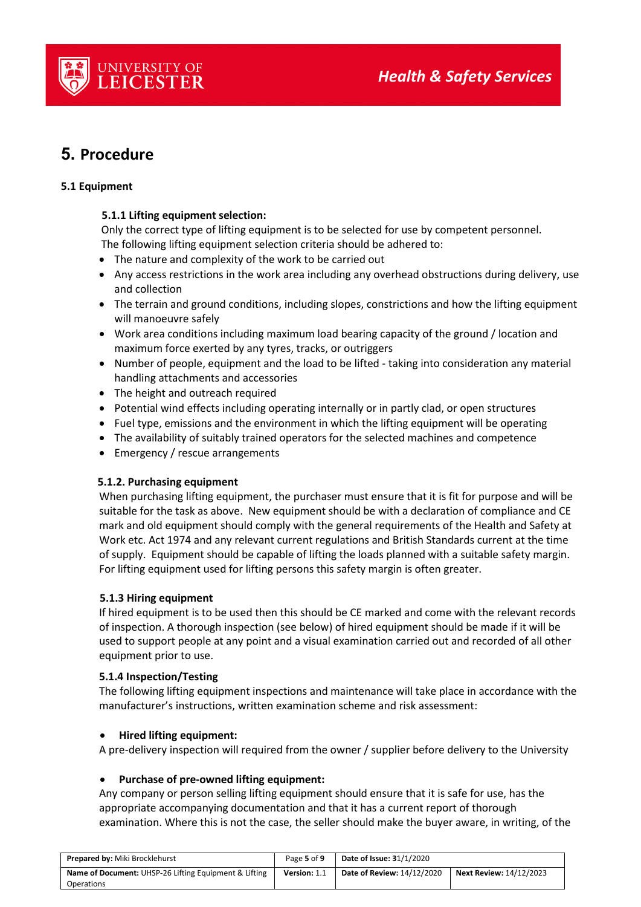

# **5. Procedure**

#### **5.1 Equipment**

#### **5.1.1 Lifting equipment selection:**

 Only the correct type of lifting equipment is to be selected for use by competent personnel. The following lifting equipment selection criteria should be adhered to:

- The nature and complexity of the work to be carried out
- Any access restrictions in the work area including any overhead obstructions during delivery, use and collection
- The terrain and ground conditions, including slopes, constrictions and how the lifting equipment will manoeuvre safely
- Work area conditions including maximum load bearing capacity of the ground / location and maximum force exerted by any tyres, tracks, or outriggers
- Number of people, equipment and the load to be lifted taking into consideration any material handling attachments and accessories
- The height and outreach required
- Potential wind effects including operating internally or in partly clad, or open structures
- Fuel type, emissions and the environment in which the lifting equipment will be operating
- The availability of suitably trained operators for the selected machines and competence
- Emergency / rescue arrangements

#### **5.1.2. Purchasing equipment**

When purchasing lifting equipment, the purchaser must ensure that it is fit for purpose and will be suitable for the task as above. New equipment should be with a declaration of compliance and CE mark and old equipment should comply with the general requirements of the Health and Safety at Work etc. Act 1974 and any relevant current regulations and British Standards current at the time of supply. Equipment should be capable of lifting the loads planned with a suitable safety margin. For lifting equipment used for lifting persons this safety margin is often greater.

#### **5.1.3 Hiring equipment**

If hired equipment is to be used then this should be CE marked and come with the relevant records of inspection. A thorough inspection (see below) of hired equipment should be made if it will be used to support people at any point and a visual examination carried out and recorded of all other equipment prior to use.

#### **5.1.4 Inspection/Testing**

The following lifting equipment inspections and maintenance will take place in accordance with the manufacturer's instructions, written examination scheme and risk assessment:

#### • **Hired lifting equipment:**

A pre-delivery inspection will required from the owner / supplier before delivery to the University

#### • **Purchase of pre-owned lifting equipment:**

Any company or person selling lifting equipment should ensure that it is safe for use, has the appropriate accompanying documentation and that it has a current report of thorough examination. Where this is not the case, the seller should make the buyer aware, in writing, of the

| <b>Prepared by: Miki Brocklehurst</b>                 | Page 5 of 9  | <b>Date of Issue: 31/1/2020</b> |                                |
|-------------------------------------------------------|--------------|---------------------------------|--------------------------------|
| Name of Document: UHSP-26 Lifting Equipment & Lifting | Version: 1.1 | Date of Review: 14/12/2020      | <b>Next Review: 14/12/2023</b> |
| Operations                                            |              |                                 |                                |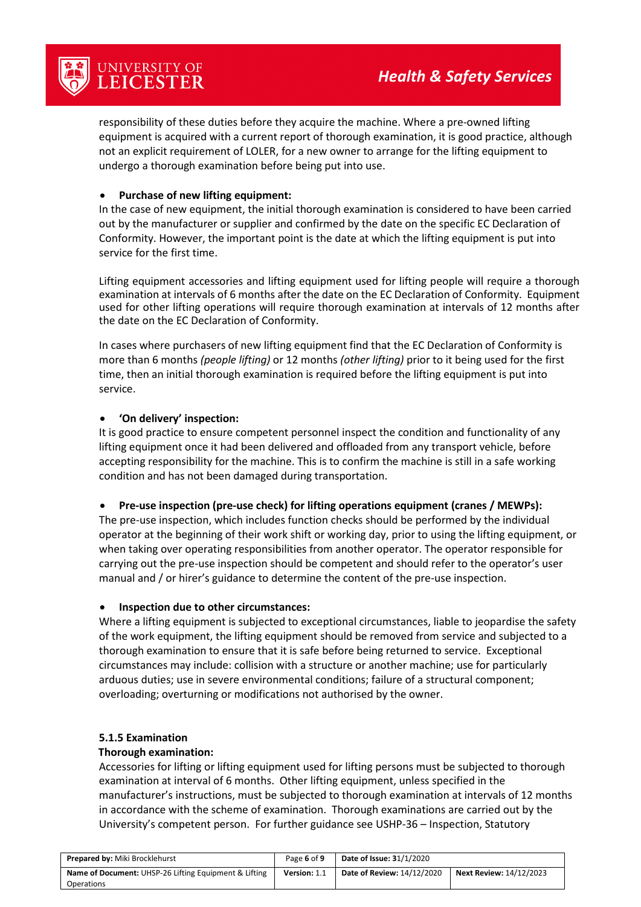

responsibility of these duties before they acquire the machine. Where a pre-owned lifting equipment is acquired with a current report of thorough examination, it is good practice, although not an explicit requirement of LOLER, for a new owner to arrange for the lifting equipment to undergo a thorough examination before being put into use.

#### • **Purchase of new lifting equipment:**

In the case of new equipment, the initial thorough examination is considered to have been carried out by the manufacturer or supplier and confirmed by the date on the specific EC Declaration of Conformity. However, the important point is the date at which the lifting equipment is put into service for the first time.

Lifting equipment accessories and lifting equipment used for lifting people will require a thorough examination at intervals of 6 months after the date on the EC Declaration of Conformity. Equipment used for other lifting operations will require thorough examination at intervals of 12 months after the date on the EC Declaration of Conformity.

In cases where purchasers of new lifting equipment find that the EC Declaration of Conformity is more than 6 months *(people lifting)* or 12 months *(other lifting)* prior to it being used for the first time, then an initial thorough examination is required before the lifting equipment is put into service.

#### • **'On delivery' inspection:**

It is good practice to ensure competent personnel inspect the condition and functionality of any lifting equipment once it had been delivered and offloaded from any transport vehicle, before accepting responsibility for the machine. This is to confirm the machine is still in a safe working condition and has not been damaged during transportation.

#### • **Pre-use inspection (pre-use check) for lifting operations equipment (cranes / MEWPs):**

The pre-use inspection, which includes function checks should be performed by the individual operator at the beginning of their work shift or working day, prior to using the lifting equipment, or when taking over operating responsibilities from another operator. The operator responsible for carrying out the pre-use inspection should be competent and should refer to the operator's user manual and / or hirer's guidance to determine the content of the pre-use inspection.

#### • **Inspection due to other circumstances:**

Where a lifting equipment is subjected to exceptional circumstances, liable to jeopardise the safety of the work equipment, the lifting equipment should be removed from service and subjected to a thorough examination to ensure that it is safe before being returned to service. Exceptional circumstances may include: collision with a structure or another machine; use for particularly arduous duties; use in severe environmental conditions; failure of a structural component; overloading; overturning or modifications not authorised by the owner.

#### **5.1.5 Examination**

#### **Thorough examination:**

Accessories for lifting or lifting equipment used for lifting persons must be subjected to thorough examination at interval of 6 months. Other lifting equipment, unless specified in the manufacturer's instructions, must be subjected to thorough examination at intervals of 12 months in accordance with the scheme of examination. Thorough examinations are carried out by the University's competent person. For further guidance see USHP-36 – Inspection, Statutory

| <b>Prepared by: Miki Brocklehurst</b>                 | Page 6 of 9  | <b>Date of Issue: 31/1/2020</b>   |                                |
|-------------------------------------------------------|--------------|-----------------------------------|--------------------------------|
| Name of Document: UHSP-26 Lifting Equipment & Lifting | Version: 1.1 | <b>Date of Review: 14/12/2020</b> | <b>Next Review: 14/12/2023</b> |
| <b>Operations</b>                                     |              |                                   |                                |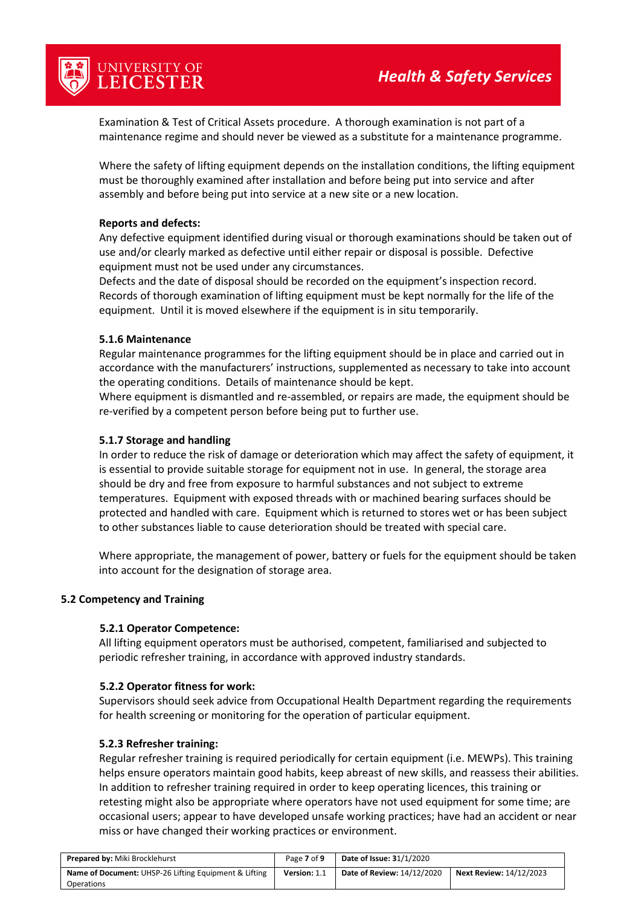

Examination & Test of Critical Assets procedure. A thorough examination is not part of a maintenance regime and should never be viewed as a substitute for a maintenance programme.

Where the safety of lifting equipment depends on the installation conditions, the lifting equipment must be thoroughly examined after installation and before being put into service and after assembly and before being put into service at a new site or a new location.

#### **Reports and defects:**

Any defective equipment identified during visual or thorough examinations should be taken out of use and/or clearly marked as defective until either repair or disposal is possible. Defective equipment must not be used under any circumstances.

Defects and the date of disposal should be recorded on the equipment's inspection record. Records of thorough examination of lifting equipment must be kept normally for the life of the equipment. Until it is moved elsewhere if the equipment is in situ temporarily.

#### **5.1.6 Maintenance**

Regular maintenance programmes for the lifting equipment should be in place and carried out in accordance with the manufacturers' instructions, supplemented as necessary to take into account the operating conditions. Details of maintenance should be kept.

Where equipment is dismantled and re-assembled, or repairs are made, the equipment should be re-verified by a competent person before being put to further use.

#### **5.1.7 Storage and handling**

In order to reduce the risk of damage or deterioration which may affect the safety of equipment, it is essential to provide suitable storage for equipment not in use. In general, the storage area should be dry and free from exposure to harmful substances and not subject to extreme temperatures. Equipment with exposed threads with or machined bearing surfaces should be protected and handled with care. Equipment which is returned to stores wet or has been subject to other substances liable to cause deterioration should be treated with special care.

Where appropriate, the management of power, battery or fuels for the equipment should be taken into account for the designation of storage area.

#### **5.2 Competency and Training**

#### **5.2.1 Operator Competence:**

All lifting equipment operators must be authorised, competent, familiarised and subjected to periodic refresher training, in accordance with approved industry standards.

#### **5.2.2 Operator fitness for work:**

Supervisors should seek advice from Occupational Health Department regarding the requirements for health screening or monitoring for the operation of particular equipment.

#### **5.2.3 Refresher training:**

Regular refresher training is required periodically for certain equipment (i.e. MEWPs). This training helps ensure operators maintain good habits, keep abreast of new skills, and reassess their abilities. In addition to refresher training required in order to keep operating licences, this training or retesting might also be appropriate where operators have not used equipment for some time; are occasional users; appear to have developed unsafe working practices; have had an accident or near miss or have changed their working practices or environment.

| <b>Prepared by: Miki Brocklehurst</b>                 | Page 7 of 9  | <b>Date of Issue: 31/1/2020</b> |                                |
|-------------------------------------------------------|--------------|---------------------------------|--------------------------------|
| Name of Document: UHSP-26 Lifting Equipment & Lifting | Version: 1.1 | Date of Review: 14/12/2020      | <b>Next Review: 14/12/2023</b> |
| <b>Operations</b>                                     |              |                                 |                                |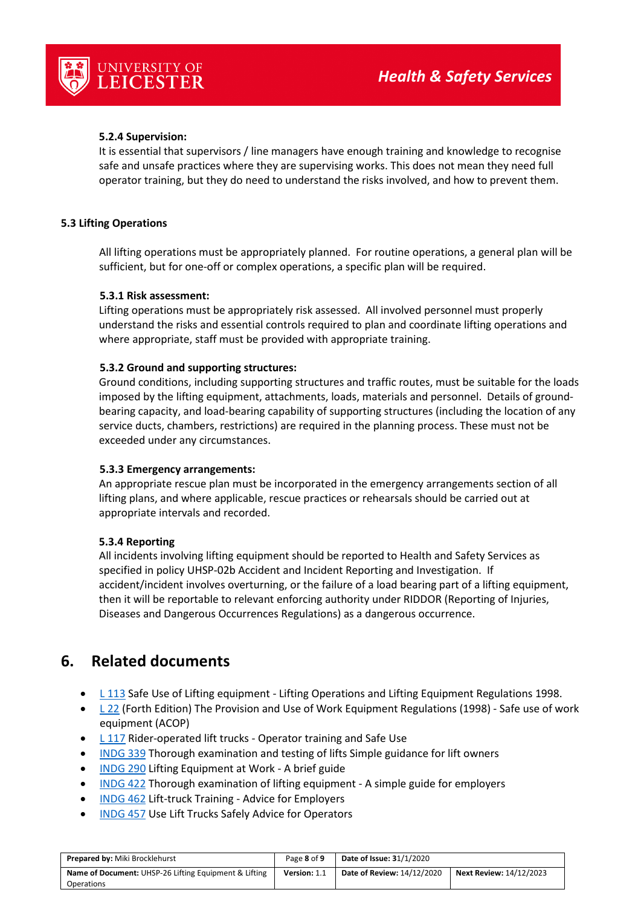



#### **5.2.4 Supervision:**

It is essential that supervisors / line managers have enough training and knowledge to recognise safe and unsafe practices where they are supervising works. This does not mean they need full operator training, but they do need to understand the risks involved, and how to prevent them.

#### **5.3 Lifting Operations**

All lifting operations must be appropriately planned. For routine operations, a general plan will be sufficient, but for one-off or complex operations, a specific plan will be required.

#### **5.3.1 Risk assessment:**

Lifting operations must be appropriately risk assessed. All involved personnel must properly understand the risks and essential controls required to plan and coordinate lifting operations and where appropriate, staff must be provided with appropriate training.

#### **5.3.2 Ground and supporting structures:**

Ground conditions, including supporting structures and traffic routes, must be suitable for the loads imposed by the lifting equipment, attachments, loads, materials and personnel. Details of groundbearing capacity, and load-bearing capability of supporting structures (including the location of any service ducts, chambers, restrictions) are required in the planning process. These must not be exceeded under any circumstances.

#### **5.3.3 Emergency arrangements:**

An appropriate rescue plan must be incorporated in the emergency arrangements section of all lifting plans, and where applicable, rescue practices or rehearsals should be carried out at appropriate intervals and recorded.

#### **5.3.4 Reporting**

All incidents involving lifting equipment should be reported to Health and Safety Services as specified in policy UHSP-02b Accident and Incident Reporting and Investigation. If accident/incident involves overturning, or the failure of a load bearing part of a lifting equipment, then it will be reportable to relevant enforcing authority under RIDDOR (Reporting of Injuries, Diseases and Dangerous Occurrences Regulations) as a dangerous occurrence.

### **6. Related documents**

- [L 113](http://www.hse.gov.uk/pubns/priced/l113.pdf) Safe Use of Lifting equipment Lifting Operations and Lifting Equipment Regulations 1998.
- [L 22](http://www.hse.gov.uk/pubns/priced/l22.pdf) (Forth Edition) The Provision and Use of Work Equipment Regulations (1998) Safe use of work equipment (ACOP)
- [L 117](http://www.hse.gov.uk/pubns/priced/l117.pdf) Rider-operated lift trucks Operator training and Safe Use
- [INDG 339](http://www.hse.gov.uk/pubns/indg339.pdf) Thorough examination and testing of lifts Simple guidance for lift owners
- [INDG 290](http://www.hse.gov.uk/pubns/indg290.pdf) Lifting Equipment at Work A brief guide
- [INDG 422](http://www.hse.gov.uk/pubns/indg422.pdf) Thorough examination of lifting equipment A simple guide for employers
- [INDG 462](http://www.hse.gov.uk/pubns/indg462.pdf) Lift-truck Training Advice for Employers
- [INDG 457](http://www.hse.gov.uk/pubns/indg457.pdf) Use Lift Trucks Safely Advice for Operators

| <b>Prepared by: Miki Brocklehurst</b>                 | Page 8 of 9  | <b>Date of Issue: 31/1/2020</b> |                                |
|-------------------------------------------------------|--------------|---------------------------------|--------------------------------|
| Name of Document: UHSP-26 Lifting Equipment & Lifting | Version: 1.1 | Date of Review: 14/12/2020      | <b>Next Review: 14/12/2023</b> |
| <b>Operations</b>                                     |              |                                 |                                |